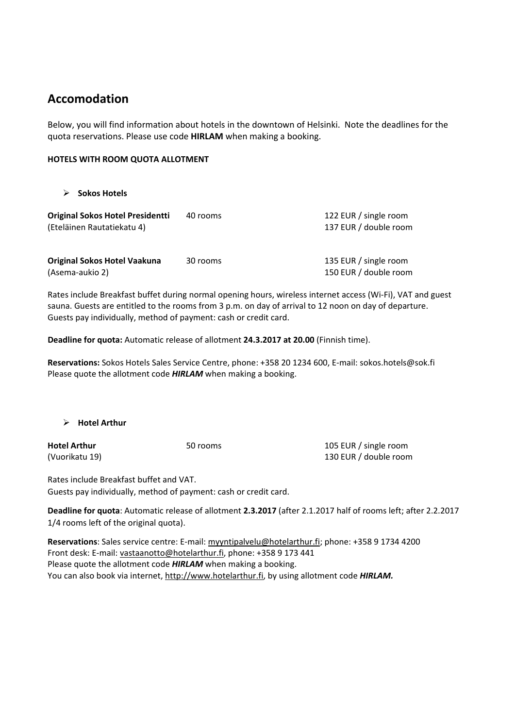# **Accomodation**

Below, you will find information about hotels in the downtown of Helsinki. Note the deadlines for the quota reservations. Please use code **HIRLAM** when making a booking.

### **HOTELS WITH ROOM QUOTA ALLOTMENT**

**Sokos Hotels**

| <b>Original Sokos Hotel Presidentti</b><br>(Eteläinen Rautatiekatu 4) | 40 rooms | 122 EUR / single room<br>137 EUR / double room |
|-----------------------------------------------------------------------|----------|------------------------------------------------|
| <b>Original Sokos Hotel Vaakuna</b><br>(Asema-aukio 2)                | 30 rooms | 135 EUR / single room<br>150 EUR / double room |

Rates include Breakfast buffet during normal opening hours, wireless internet access (Wi‐Fi), VAT and guest sauna. Guests are entitled to the rooms from 3 p.m. on day of arrival to 12 noon on day of departure. Guests pay individually, method of payment: cash or credit card.

**Deadline for quota:** Automatic release of allotment **24.3.2017 at 20.00** (Finnish time).

**Reservations:** Sokos Hotels Sales Service Centre, phone: +358 20 1234 600, E‐mail: sokos.hotels@sok.fi Please quote the allotment code *HIRLAM* when making a booking.

**Hotel Arthur**

**Hotel Arthur**  (Vuorikatu 19)

50 rooms 105 EUR / single room 130 EUR / double room

Rates include Breakfast buffet and VAT. Guests pay individually, method of payment: cash or credit card.

**Deadline for quota**: Automatic release of allotment **2.3.2017** (after 2.1.2017 half of rooms left; after 2.2.2017 1/4 rooms left of the original quota).

**Reservations**: Sales service centre: E‐mail: myyntipalvelu@hotelarthur.fi; phone: +358 9 1734 4200 Front desk: E-mail: vastaanotto@hotelarthur.fi, phone: +358 9 173 441 Please quote the allotment code *HIRLAM* when making a booking. You can also book via internet, http://www.hotelarthur.fi, by using allotment code *HIRLAM.*